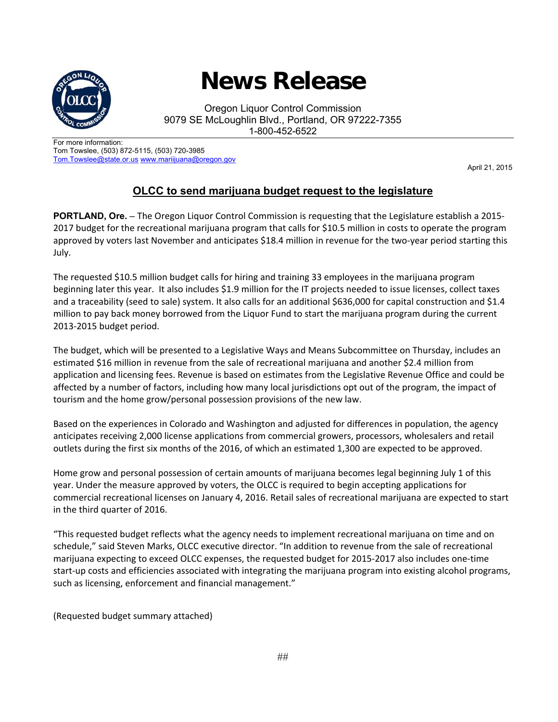

## **News Release**

Oregon Liquor Control Commission 9079 SE McLoughlin Blvd., Portland, OR 97222-7355 1-800-452-6522

For more information: Tom Towslee, (503) 872-5115, (503) 720-3985 Tom.Towslee@state.or.us www.mariijuana@oregon.gov

April 21, 2015

## **OLCC to send marijuana budget request to the legislature**

**PORTLAND, Ore.** – The Oregon Liquor Control Commission is requesting that the Legislature establish a 2015‐ 2017 budget for the recreational marijuana program that calls for \$10.5 million in costs to operate the program approved by voters last November and anticipates \$18.4 million in revenue for the two-year period starting this July.

The requested \$10.5 million budget calls for hiring and training 33 employees in the marijuana program beginning later this year. It also includes \$1.9 million for the IT projects needed to issue licenses, collect taxes and a traceability (seed to sale) system. It also calls for an additional \$636,000 for capital construction and \$1.4 million to pay back money borrowed from the Liquor Fund to start the marijuana program during the current 2013‐2015 budget period.

The budget, which will be presented to a Legislative Ways and Means Subcommittee on Thursday, includes an estimated \$16 million in revenue from the sale of recreational marijuana and another \$2.4 million from application and licensing fees. Revenue is based on estimates from the Legislative Revenue Office and could be affected by a number of factors, including how many local jurisdictions opt out of the program, the impact of tourism and the home grow/personal possession provisions of the new law.

Based on the experiences in Colorado and Washington and adjusted for differences in population, the agency anticipates receiving 2,000 license applications from commercial growers, processors, wholesalers and retail outlets during the first six months of the 2016, of which an estimated 1,300 are expected to be approved.

Home grow and personal possession of certain amounts of marijuana becomes legal beginning July 1 of this year. Under the measure approved by voters, the OLCC is required to begin accepting applications for commercial recreational licenses on January 4, 2016. Retail sales of recreational marijuana are expected to start in the third quarter of 2016.

"This requested budget reflects what the agency needs to implement recreational marijuana on time and on schedule," said Steven Marks, OLCC executive director. "In addition to revenue from the sale of recreational marijuana expecting to exceed OLCC expenses, the requested budget for 2015‐2017 also includes one‐time start-up costs and efficiencies associated with integrating the marijuana program into existing alcohol programs, such as licensing, enforcement and financial management."

(Requested budget summary attached)